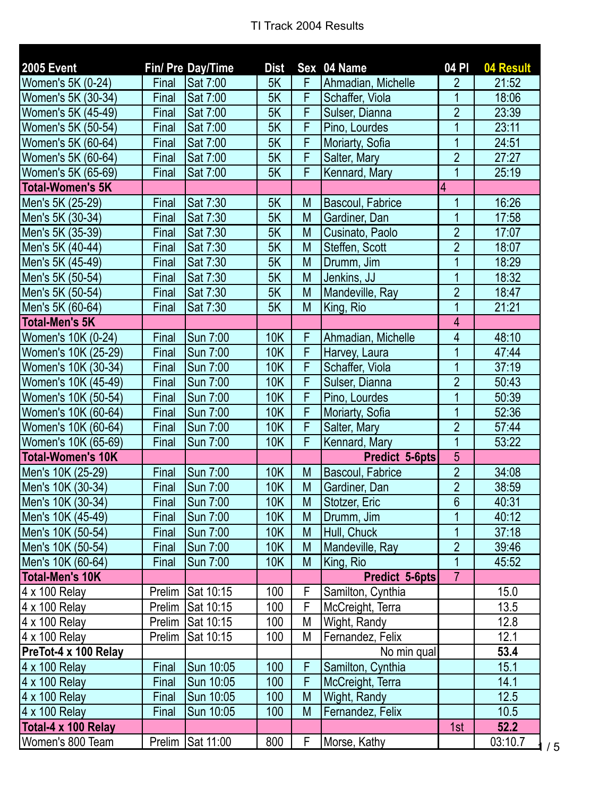| <b>2005 Event</b>        |              | Fin/ Pre Day/Time | <b>Dist</b> |                         | Sex 04 Name        | 04P                     | 04 Result |
|--------------------------|--------------|-------------------|-------------|-------------------------|--------------------|-------------------------|-----------|
| Women's 5K (0-24)        | Final        | Sat 7:00          | 5K          | F                       | Ahmadian, Michelle | $\overline{2}$          | 21:52     |
| Women's 5K (30-34)       | Final        | Sat 7:00          | 5K          | F                       | Schaffer, Viola    | 1                       | 18:06     |
| Women's 5K (45-49)       | Final        | Sat 7:00          | 5K          | F                       | Sulser, Dianna     | $\overline{2}$          | 23:39     |
| Women's 5K (50-54)       | Final        | Sat 7:00          | 5K          | F                       | Pino, Lourdes      | 1                       | 23:11     |
| Women's 5K (60-64)       | Final        | Sat 7:00          | 5K          | F                       | Moriarty, Sofia    | $\overline{1}$          | 24:51     |
| Women's 5K (60-64)       | <b>Final</b> | Sat 7:00          | 5K          | F                       | Salter, Mary       | $\overline{2}$          | 27:27     |
| Women's 5K (65-69)       | Final        | Sat 7:00          | 5K          | F                       | Kennard, Mary      | $\overline{1}$          | 25:19     |
| <b>Total-Women's 5K</b>  |              |                   |             |                         |                    | $\vert 4$               |           |
| Men's 5K (25-29)         | Final        | Sat 7:30          | 5K          | M                       | Bascoul, Fabrice   | 1                       | 16:26     |
| Men's 5K (30-34)         | Final        | Sat 7:30          | 5K          | M                       | Gardiner, Dan      | 1                       | 17:58     |
| Men's 5K (35-39)         | Final        | Sat 7:30          | 5K          | M                       | Cusinato, Paolo    | $\overline{2}$          | 17:07     |
| Men's 5K (40-44)         | Final        | Sat 7:30          | 5K          | M                       | Steffen, Scott     | $\overline{2}$          | 18:07     |
| Men's 5K (45-49)         | Final        | Sat 7:30          | 5K          | M                       | Drumm, Jim         | 1                       | 18:29     |
| Men's 5K (50-54)         | Final        | Sat 7:30          | 5K          | M                       | Jenkins, JJ        | 1                       | 18:32     |
| Men's 5K (50-54)         | Final        | Sat 7:30          | 5K          | M                       | Mandeville, Ray    | $\overline{2}$          | 18:47     |
| Men's 5K (60-64)         | Final        | Sat 7:30          | 5K          | M                       | King, Rio          | $\overline{1}$          | 21:21     |
| <b>Total-Men's 5K</b>    |              |                   |             |                         |                    | $\overline{\mathbf{4}}$ |           |
| Women's 10K (0-24)       | Final        | Sun 7:00          | <b>10K</b>  | F                       | Ahmadian, Michelle | 4                       | 48:10     |
| Women's 10K (25-29)      | Final        | Sun 7:00          | <b>10K</b>  | F                       | Harvey, Laura      | 1                       | 47:44     |
| Women's 10K (30-34)      | Final        | Sun 7:00          | <b>10K</b>  | F                       | Schaffer, Viola    | $\overline{1}$          | 37:19     |
| Women's 10K (45-49)      | Final        | <b>Sun 7:00</b>   | 10K         | F                       | Sulser, Dianna     | $\overline{2}$          | 50:43     |
| Women's 10K (50-54)      | Final        | Sun 7:00          | <b>10K</b>  | F                       | Pino, Lourdes      | 1                       | 50:39     |
| Women's 10K (60-64)      | Final        | Sun 7:00          | <b>10K</b>  | F                       | Moriarty, Sofia    | 1                       | 52:36     |
| Women's 10K (60-64)      | Final        | Sun 7:00          | <b>10K</b>  | $\overline{\mathsf{F}}$ | Salter, Mary       | $\overline{2}$          | 57:44     |
| Women's 10K (65-69)      | Final        | Sun 7:00          | <b>10K</b>  | F                       | Kennard, Mary      | 1                       | 53:22     |
| <b>Total-Women's 10K</b> |              |                   |             |                         | Predict 5-6pts     | 5                       |           |
| Men's 10K (25-29)        | Final        | <b>Sun 7:00</b>   | <b>10K</b>  | M                       | Bascoul, Fabrice   | $\overline{2}$          | 34:08     |
| Men's 10K (30-34)        | <b>Final</b> | Sun 7:00          | <b>10K</b>  | M                       | Gardiner, Dan      | $\overline{2}$          | 38:59     |
| Men's 10K (30-34)        | Final        | Sun 7:00          | 10K         | ${\sf M}$               | Stotzer, Eric      | $\overline{6}$          | 40:31     |
| Men's 10K (45-49)        | Final        | Sun 7:00          | <b>10K</b>  | M                       | Drumm, Jim         | $\overline{1}$          | 40:12     |
| Men's 10K (50-54)        | Final        | Sun 7:00          | 10K         | M                       | Hull, Chuck        | 1                       | 37:18     |
| Men's 10K (50-54)        | Final        | Sun 7:00          | <b>10K</b>  | M                       | Mandeville, Ray    | $\overline{2}$          | 39:46     |
| Men's 10K (60-64)        | Final        | Sun 7:00          | 10K         | M                       | King, Rio          | 1                       | 45:52     |
| <b>Total-Men's 10K</b>   |              |                   |             |                         | Predict 5-6pts     | $\overline{7}$          |           |
| 4 x 100 Relay            | Prelim       | Sat 10:15         | 100         | F                       | Samilton, Cynthia  |                         | 15.0      |
| 4 x 100 Relay            | Prelim       | Sat 10:15         | 100         | $\overline{F}$          | McCreight, Terra   |                         | 13.5      |
| 4 x 100 Relay            | Prelim       | Sat 10:15         | 100         | M                       | Wight, Randy       |                         | 12.8      |
| 4 x 100 Relay            | Prelim       | Sat 10:15         | 100         | M                       | Fernandez, Felix   |                         | 12.1      |
| PreTot-4 x 100 Relay     |              |                   |             |                         | No min qual        |                         | 53.4      |
| 4 x 100 Relay            | Final        | Sun 10:05         | 100         | F                       | Samilton, Cynthia  |                         | 15.1      |
| 4 x 100 Relay            | Final        | Sun 10:05         | 100         | F                       | McCreight, Terra   |                         | 14.1      |
| 4 x 100 Relay            | Final        | Sun 10:05         | 100         | M                       | Wight, Randy       |                         | 12.5      |
| 4 x 100 Relay            | Final        | Sun 10:05         | 100         | M                       | Fernandez, Felix   |                         | 10.5      |
| Total-4 x 100 Relay      |              |                   |             |                         |                    | 1st                     | 52.2      |
| Women's 800 Team         |              | Prelim Sat 11:00  | 800         | F                       | Morse, Kathy       |                         | 03:10.7   |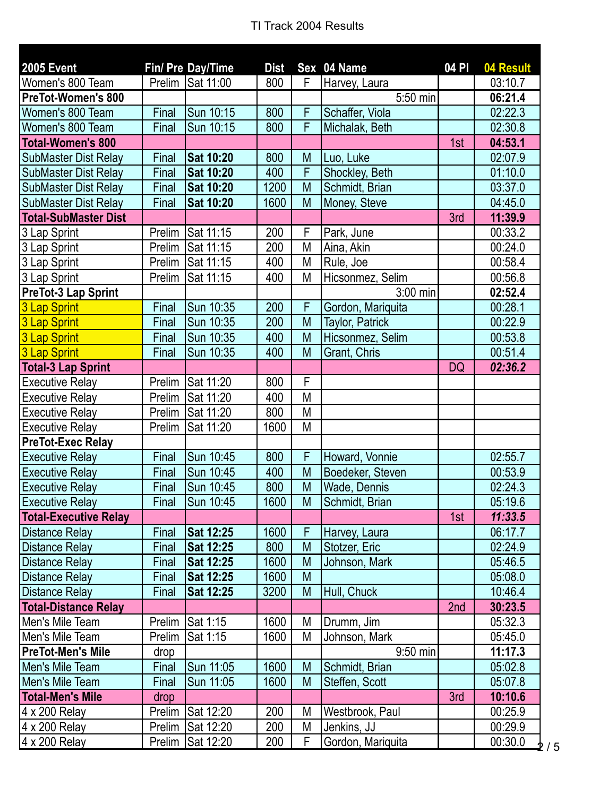| <b>2005 Event</b>            |        | Fin/ Pre Day/Time | <b>Dist</b> |   | Sex 04 Name       | 04 PI     | 04 Result |
|------------------------------|--------|-------------------|-------------|---|-------------------|-----------|-----------|
| Women's 800 Team             | Prelim | Sat 11:00         | 800         | F | Harvey, Laura     |           | 03:10.7   |
| <b>PreTot-Women's 800</b>    |        |                   |             |   | 5:50 min          |           | 06:21.4   |
| Women's 800 Team             | Final  | Sun 10:15         | 800         | F | Schaffer, Viola   |           | 02:22.3   |
| Women's 800 Team             | Final  | Sun 10:15         | 800         | F | Michalak, Beth    |           | 02:30.8   |
| <b>Total-Women's 800</b>     |        |                   |             |   |                   | 1st       | 04:53.1   |
| <b>SubMaster Dist Relay</b>  | Final  | Sat 10:20         | 800         | M | Luo, Luke         |           | 02:07.9   |
| <b>SubMaster Dist Relay</b>  | Final  | Sat 10:20         | 400         | F | Shockley, Beth    |           | 01:10.0   |
| <b>SubMaster Dist Relay</b>  | Final  | Sat 10:20         | 1200        | M | Schmidt, Brian    |           | 03:37.0   |
| <b>SubMaster Dist Relay</b>  | Final  | Sat 10:20         | 1600        | M | Money, Steve      |           | 04:45.0   |
| <b>Total-SubMaster Dist</b>  |        |                   |             |   |                   | 3rd       | 11:39.9   |
| 3 Lap Sprint                 | Prelim | Sat 11:15         | 200         | F | Park, June        |           | 00:33.2   |
| 3 Lap Sprint                 | Prelim | Sat 11:15         | 200         | M | Aina, Akin        |           | 00:24.0   |
| 3 Lap Sprint                 | Prelim | Sat 11:15         | 400         | M | Rule, Joe         |           | 00:58.4   |
| 3 Lap Sprint                 | Prelim | Sat 11:15         | 400         | M | Hicsonmez, Selim  |           | 00:56.8   |
| PreTot-3 Lap Sprint          |        |                   |             |   | 3:00 min          |           | 02:52.4   |
| 3 Lap Sprint                 | Final  | Sun 10:35         | 200         | F | Gordon, Mariquita |           | 00:28.1   |
| 3 Lap Sprint                 | Final  | Sun 10:35         | 200         | M | Taylor, Patrick   |           | 00:22.9   |
| 3 Lap Sprint                 | Final  | Sun 10:35         | 400         | M | Hicsonmez, Selim  |           | 00:53.8   |
| 3 Lap Sprint                 | Final  | Sun 10:35         | 400         | M | Grant, Chris      |           | 00:51.4   |
| <b>Total-3 Lap Sprint</b>    |        |                   |             |   |                   | <b>DQ</b> | 02:36.2   |
| <b>Executive Relay</b>       | Prelim | Sat 11:20         | 800         | F |                   |           |           |
| <b>Executive Relay</b>       | Prelim | Sat 11:20         | 400         | M |                   |           |           |
| <b>Executive Relay</b>       | Prelim | Sat 11:20         | 800         | M |                   |           |           |
| <b>Executive Relay</b>       | Prelim | Sat 11:20         | 1600        | M |                   |           |           |
| <b>PreTot-Exec Relay</b>     |        |                   |             |   |                   |           |           |
| <b>Executive Relay</b>       | Final  | Sun 10:45         | 800         | F | Howard, Vonnie    |           | 02:55.7   |
| <b>Executive Relay</b>       | Final  | Sun 10:45         | 400         | M | Boedeker, Steven  |           | 00:53.9   |
| <b>Executive Relay</b>       | Final  | Sun 10:45         | 800         | M | Wade, Dennis      |           | 02:24.3   |
| <b>Executive Relay</b>       | Final  | Sun 10:45         | 1600        | M | Schmidt, Brian    |           | 05:19.6   |
| <b>Total-Executive Relay</b> |        |                   |             |   |                   | 1st       | 11:33.5   |
| <b>Distance Relay</b>        | Final  | Sat 12:25         | 1600        | F | Harvey, Laura     |           | 06:17.7   |
| <b>Distance Relay</b>        | Final  | Sat 12:25         | 800         | M | Stotzer, Eric     |           | 02:24.9   |
| <b>Distance Relay</b>        | Final  | Sat 12:25         | 1600        | M | Johnson, Mark     |           | 05:46.5   |
| <b>Distance Relay</b>        | Final  | Sat 12:25         | 1600        | M |                   |           | 05:08.0   |
| <b>Distance Relay</b>        | Final  | Sat 12:25         | 3200        | M | Hull, Chuck       |           | 10:46.4   |
| <b>Total-Distance Relay</b>  |        |                   |             |   |                   | 2nd       | 30:23.5   |
| Men's Mile Team              | Prelim | Sat 1:15          | 1600        | M | Drumm, Jim        |           | 05:32.3   |
| Men's Mile Team              | Prelim | Sat 1:15          | 1600        | M | Johnson, Mark     |           | 05:45.0   |
| <b>PreTot-Men's Mile</b>     | drop   |                   |             |   | $9:50$ min        |           | 11:17.3   |
| Men's Mile Team              | Final  | Sun 11:05         | 1600        | M | Schmidt, Brian    |           | 05:02.8   |
| Men's Mile Team              | Final  | Sun 11:05         | 1600        | M | Steffen, Scott    |           | 05:07.8   |
| <b>Total-Men's Mile</b>      | drop   |                   |             |   |                   | 3rd       | 10:10.6   |
| 4 x 200 Relay                | Prelim | Sat 12:20         | 200         | M | Westbrook, Paul   |           | 00:25.9   |
| 4 x 200 Relay                | Prelim | Sat 12:20         | 200         | M | Jenkins, JJ       |           | 00:29.9   |
| 4 x 200 Relay                | Prelim | Sat 12:20         | 200         | F | Gordon, Mariquita |           | 00:30.0   |

2 / 5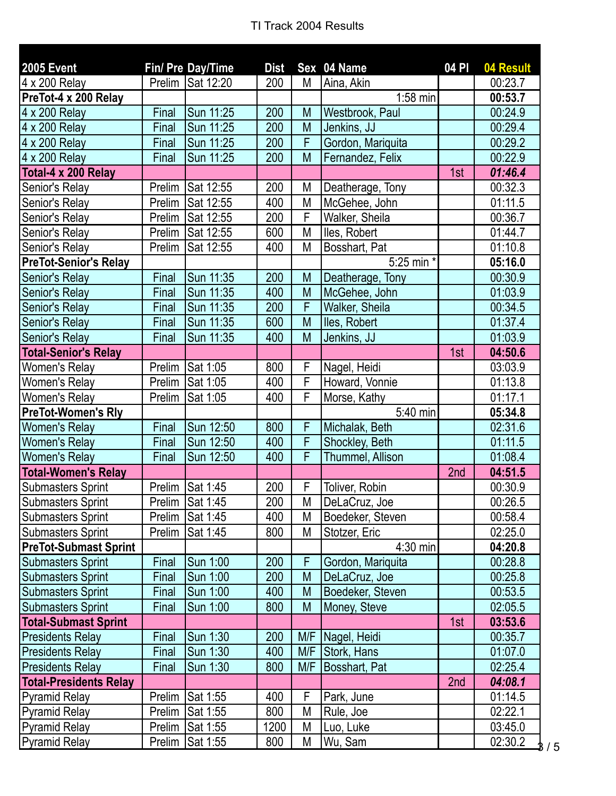| <b>2005 Event</b>             |        | Fin/ Pre Day/Time | <b>Dist</b> |     | Sex 04 Name       | 04 PI | 04 Result |
|-------------------------------|--------|-------------------|-------------|-----|-------------------|-------|-----------|
| 4 x 200 Relay                 | Prelim | Sat 12:20         | 200         | M   | Aina, Akin        |       | 00:23.7   |
| PreTot-4 x 200 Relay          |        |                   |             |     | $1:58$ min        |       | 00:53.7   |
| 4 x 200 Relay                 | Final  | Sun 11:25         | 200         | M   | Westbrook, Paul   |       | 00:24.9   |
| 4 x 200 Relay                 | Final  | Sun 11:25         | 200         | M   | Jenkins, JJ       |       | 00:29.4   |
| 4 x 200 Relay                 | Final  | Sun 11:25         | 200         | F   | Gordon, Mariquita |       | 00:29.2   |
| 4 x 200 Relay                 | Final  | Sun 11:25         | 200         | M   | Fernandez, Felix  |       | 00:22.9   |
| Total-4 x 200 Relay           |        |                   |             |     |                   | 1st   | 01:46.4   |
| Senior's Relay                | Prelim | Sat 12:55         | 200         | M   | Deatherage, Tony  |       | 00:32.3   |
| Senior's Relay                | Prelim | Sat 12:55         | 400         | M   | McGehee, John     |       | 01:11.5   |
| Senior's Relay                | Prelim | Sat 12:55         | 200         | F   | Walker, Sheila    |       | 00:36.7   |
| Senior's Relay                | Prelim | Sat 12:55         | 600         | M   | lles, Robert      |       | 01:44.7   |
| Senior's Relay                | Prelim | Sat 12:55         | 400         | M   | Bosshart, Pat     |       | 01:10.8   |
| <b>PreTot-Senior's Relay</b>  |        |                   |             |     | 5:25 min *        |       | 05:16.0   |
| Senior's Relay                | Final  | Sun 11:35         | 200         | M   | Deatherage, Tony  |       | 00:30.9   |
| Senior's Relay                | Final  | Sun 11:35         | 400         | M   | McGehee, John     |       | 01:03.9   |
| Senior's Relay                | Final  | Sun 11:35         | 200         | F   | Walker, Sheila    |       | 00:34.5   |
| Senior's Relay                | Final  | Sun 11:35         | 600         | M   | Iles, Robert      |       | 01:37.4   |
| Senior's Relay                | Final  | Sun 11:35         | 400         | M   | Jenkins, JJ       |       | 01:03.9   |
| <b>Total-Senior's Relay</b>   |        |                   |             |     |                   | 1st   | 04:50.6   |
| Women's Relay                 | Prelim | Sat 1:05          | 800         | F   | Nagel, Heidi      |       | 03:03.9   |
| Women's Relay                 | Prelim | Sat 1:05          | 400         | F   | Howard, Vonnie    |       | 01:13.8   |
| Women's Relay                 | Prelim | Sat 1:05          | 400         | F   | Morse, Kathy      |       | 01:17.1   |
| <b>PreTot-Women's Rly</b>     |        |                   |             |     | 5:40 min          |       | 05:34.8   |
| <b>Women's Relay</b>          | Final  | Sun 12:50         | 800         | F   | Michalak, Beth    |       | 02:31.6   |
| <b>Women's Relay</b>          | Final  | Sun 12:50         | 400         | F   | Shockley, Beth    |       | 01:11.5   |
| <b>Women's Relay</b>          | Final  | Sun 12:50         | 400         | F   | Thummel, Allison  |       | 01:08.4   |
| <b>Total-Women's Relay</b>    |        |                   |             |     |                   | 2nd   | 04:51.5   |
| <b>Submasters Sprint</b>      | Prelim | Sat 1:45          | 200         | F   | Toliver, Robin    |       | 00:30.9   |
| Submasters Sprint             |        | Prelim Sat 1:45   | 200         | М   | DeLaCruz, Joe     |       | 00:26.5   |
| <b>Submasters Sprint</b>      |        | Prelim Sat 1:45   | 400         | M   | Boedeker, Steven  |       | 00:58.4   |
| <b>Submasters Sprint</b>      | Prelim | Sat 1:45          | 800         | M   | Stotzer, Eric     |       | 02:25.0   |
| <b>PreTot-Submast Sprint</b>  |        |                   |             |     | 4:30 min          |       | 04:20.8   |
| <b>Submasters Sprint</b>      | Final  | Sun 1:00          | 200         | F   | Gordon, Mariquita |       | 00:28.8   |
| <b>Submasters Sprint</b>      | Final  | Sun 1:00          | 200         | M   | DeLaCruz, Joe     |       | 00:25.8   |
| <b>Submasters Sprint</b>      | Final  | Sun 1:00          | 400         | M   | Boedeker, Steven  |       | 00:53.5   |
| <b>Submasters Sprint</b>      | Final  | Sun 1:00          | 800         | M   | Money, Steve      |       | 02:05.5   |
| <b>Total-Submast Sprint</b>   |        |                   |             |     |                   | 1st   | 03:53.6   |
| <b>Presidents Relay</b>       | Final  | Sun 1:30          | 200         | M/F | Nagel, Heidi      |       | 00:35.7   |
| <b>Presidents Relay</b>       | Final  | Sun 1:30          | 400         | M/F | Stork, Hans       |       | 01:07.0   |
| <b>Presidents Relay</b>       | Final  | Sun 1:30          | 800         | M/F | Bosshart, Pat     |       | 02:25.4   |
| <b>Total-Presidents Relay</b> |        |                   |             |     |                   | 2nd   | 04:08.1   |
| <b>Pyramid Relay</b>          | Prelim | Sat 1:55          | 400         | F   | Park, June        |       | 01:14.5   |
| <b>Pyramid Relay</b>          | Prelim | Sat 1:55          | 800         | M   | Rule, Joe         |       | 02:22.1   |
| <b>Pyramid Relay</b>          | Prelim | Sat 1:55          | 1200        | M   | Luo, Luke         |       | 03:45.0   |
| <b>Pyramid Relay</b>          | Prelim | Sat 1:55          | 800         | M   | Wu, Sam           |       | 02:30.2   |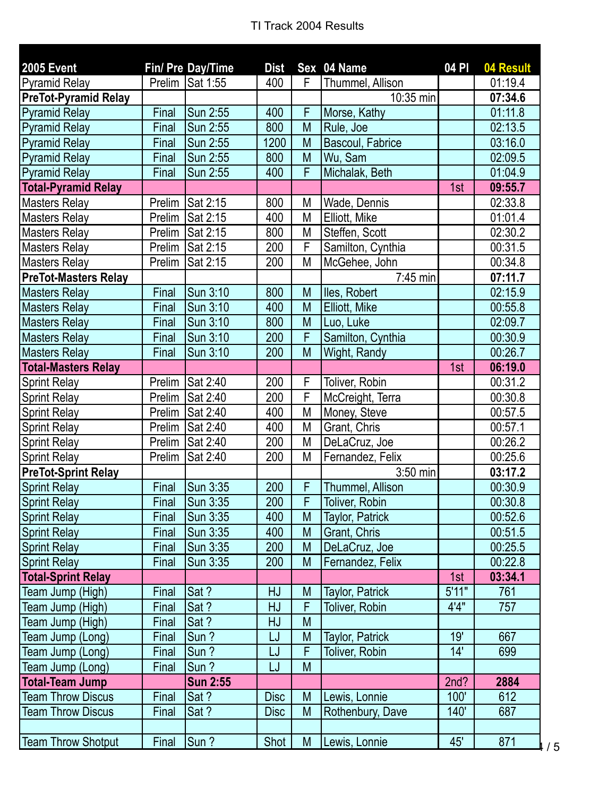| <b>2005 Event</b>           |              | Fin/ Pre Day/Time | <b>Dist</b> |   | Sex 04 Name            | 04 PI | 04 Result |
|-----------------------------|--------------|-------------------|-------------|---|------------------------|-------|-----------|
| <b>Pyramid Relay</b>        | Prelim       | Sat 1:55          | 400         | F | Thummel, Allison       |       | 01:19.4   |
| <b>PreTot-Pyramid Relay</b> |              |                   |             |   | 10:35 min              |       | 07:34.6   |
| <b>Pyramid Relay</b>        | Final        | Sun 2:55          | 400         | F | Morse, Kathy           |       | 01:11.8   |
| <b>Pyramid Relay</b>        | Final        | Sun 2:55          | 800         | M | Rule, Joe              |       | 02:13.5   |
| <b>Pyramid Relay</b>        | Final        | Sun 2:55          | 1200        | M | Bascoul, Fabrice       |       | 03:16.0   |
| <b>Pyramid Relay</b>        | Final        | <b>Sun 2:55</b>   | 800         | M | Wu, Sam                |       | 02:09.5   |
| <b>Pyramid Relay</b>        | Final        | Sun 2:55          | 400         | F | Michalak, Beth         |       | 01:04.9   |
| <b>Total-Pyramid Relay</b>  |              |                   |             |   |                        | 1st   | 09:55.7   |
| <b>Masters Relay</b>        | Prelim       | Sat 2:15          | 800         | M | Wade, Dennis           |       | 02:33.8   |
| <b>Masters Relay</b>        | Prelim       | Sat 2:15          | 400         | M | Elliott, Mike          |       | 01:01.4   |
| <b>Masters Relay</b>        | Prelim       | Sat 2:15          | 800         | M | Steffen, Scott         |       | 02:30.2   |
| <b>Masters Relay</b>        | Prelim       | Sat 2:15          | 200         | F | Samilton, Cynthia      |       | 00:31.5   |
| <b>Masters Relay</b>        | Prelim       | Sat 2:15          | 200         | M | McGehee, John          |       | 00:34.8   |
| <b>PreTot-Masters Relay</b> |              |                   |             |   | 7:45 min               |       | 07:11.7   |
| <b>Masters Relay</b>        | Final        | Sun 3:10          | 800         | M | lles, Robert           |       | 02:15.9   |
| <b>Masters Relay</b>        | Final        | Sun 3:10          | 400         | M | Elliott, Mike          |       | 00:55.8   |
| <b>Masters Relay</b>        | Final        | Sun 3:10          | 800         | M | Luo, Luke              |       | 02:09.7   |
| <b>Masters Relay</b>        | <b>Final</b> | Sun 3:10          | 200         | F | Samilton, Cynthia      |       | 00:30.9   |
| <b>Masters Relay</b>        | Final        | Sun 3:10          | 200         | M | Wight, Randy           |       | 00:26.7   |
| <b>Total-Masters Relay</b>  |              |                   |             |   |                        | 1st   | 06:19.0   |
| <b>Sprint Relay</b>         | Prelim       | Sat 2:40          | 200         | F | Toliver, Robin         |       | 00:31.2   |
| <b>Sprint Relay</b>         | Prelim       | Sat 2:40          | 200         | F | McCreight, Terra       |       | 00:30.8   |
| <b>Sprint Relay</b>         | Prelim       | Sat 2:40          | 400         | M | Money, Steve           |       | 00:57.5   |
| <b>Sprint Relay</b>         | Prelim       | Sat 2:40          | 400         | M | Grant, Chris           |       | 00:57.1   |
| <b>Sprint Relay</b>         | Prelim       | Sat 2:40          | 200         | M | DeLaCruz, Joe          |       | 00:26.2   |
| <b>Sprint Relay</b>         | Prelim       | Sat 2:40          | 200         | M | Fernandez, Felix       |       | 00:25.6   |
| <b>PreTot-Sprint Relay</b>  |              |                   |             |   | 3:50 min               |       | 03:17.2   |
| <b>Sprint Relay</b>         | Final        | Sun 3:35          | 200         | F | Thummel, Allison       |       | 00:30.9   |
| <b>Sprint Relay</b>         | Final        | Sun 3:35          | 200         | F | Toliver, Robin         |       | 00:30.8   |
| <b>Sprint Relay</b>         | Final        | Sun 3:35          | 400         | M | <b>Taylor, Patrick</b> |       | 00:52.6   |
| <b>Sprint Relay</b>         | Final        | Sun 3:35          | 400         | M | Grant, Chris           |       | 00:51.5   |
| <b>Sprint Relay</b>         | Final        | Sun 3:35          | 200         | M | DeLaCruz, Joe          |       | 00:25.5   |
| <b>Sprint Relay</b>         | Final        | Sun 3:35          | 200         | M | Fernandez, Felix       |       | 00:22.8   |
| <b>Total-Sprint Relay</b>   |              |                   |             |   |                        | 1st   | 03:34.1   |
| Team Jump (High)            | Final        | Sat ?             | HJ          | M | <b>Taylor, Patrick</b> | 5'11" | 761       |
| Team Jump (High)            | Final        | Sat ?             | <b>HJ</b>   | F | <b>Toliver, Robin</b>  | 4'4"  | 757       |
| Team Jump (High)            | Final        | Sat ?             | HJ          | M |                        |       |           |
| Team Jump (Long)            | Final        | Sun?              | LJ          | M | Taylor, Patrick        | 19'   | 667       |
| Team Jump (Long)            | Final        | Sun?              | LJ          | F | <b>Toliver, Robin</b>  | 14'   | 699       |
| Team Jump (Long)            | Final        | Sun?              | LJ          | M |                        |       |           |
| <b>Total-Team Jump</b>      |              | <b>Sun 2:55</b>   |             |   |                        | 2nd?  | 2884      |
| <b>Team Throw Discus</b>    | Final        | Sat?              | <b>Disc</b> | M | Lewis, Lonnie          | 100'  | 612       |
| <b>Team Throw Discus</b>    | Final        | Sat?              | <b>Disc</b> | M | Rothenbury, Dave       | 140'  | 687       |
|                             |              |                   |             |   |                        |       |           |
| <b>Team Throw Shotput</b>   | Final        | Sun?              | Shot        | M | Lewis, Lonnie          | 45'   | 871       |